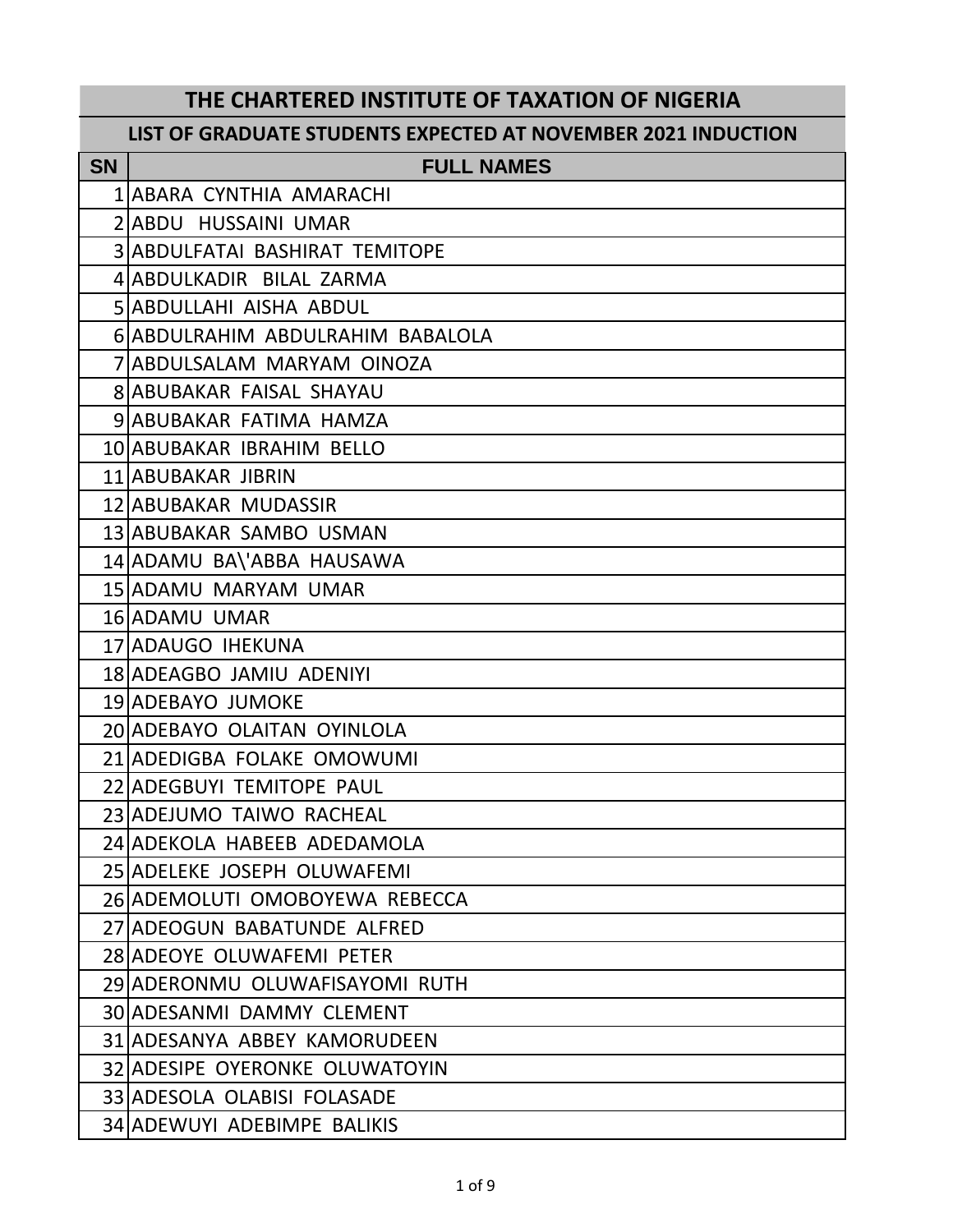## **THE CHARTERED INSTITUTE OF TAXATION OF NIGERIA**

## **LIST OF GRADUATE STUDENTS EXPECTED AT NOVEMBER 2021 INDUCTION**

| <b>SN</b> | <b>FULL NAMES</b>                     |
|-----------|---------------------------------------|
|           | 1 ABARA CYNTHIA AMARACHI              |
|           | 2 ABDU HUSSAINI UMAR                  |
|           | <b>3 ABDULFATAI BASHIRAT TEMITOPE</b> |
|           | 4 ABDULKADIR BILAL ZARMA              |
|           | SIABDULLAHI AISHA ABDUL               |
|           | 6 ABDULRAHIM ABDULRAHIM BABALOLA      |
|           | 7 ABDULSALAM MARYAM OINOZA            |
|           | <b>8 ABUBAKAR FAISAL SHAYAU</b>       |
|           | 9 ABUBAKAR FATIMA HAMZA               |
|           | 10 ABUBAKAR IBRAHIM BELLO             |
|           | 11 ABUBAKAR JIBRIN                    |
|           | 12 ABUBAKAR MUDASSIR                  |
|           | 13 ABUBAKAR SAMBO USMAN               |
|           | 14 ADAMU BA\'ABBA HAUSAWA             |
|           | 15 ADAMU MARYAM UMAR                  |
|           | 16 ADAMU UMAR                         |
|           | 17 ADAUGO IHEKUNA                     |
|           | 18 ADEAGBO JAMIU ADENIYI              |
|           | 19 ADEBAYO JUMOKE                     |
|           | 20 ADEBAYO OLAITAN OYINLOLA           |
|           | 21 ADEDIGBA FOLAKE OMOWUMI            |
|           | 22 ADEGBUYI TEMITOPE PAUL             |
|           | 23 ADEJUMO TAIWO RACHEAL              |
|           | 24 ADEKOLA HABEEB ADEDAMOLA           |
|           | 25 ADELEKE JOSEPH OLUWAFEMI           |
|           | 26 ADEMOLUTI OMOBOYEWA REBECCA        |
|           | 27 ADEOGUN BABATUNDE ALFRED           |
|           | 28 ADEOYE OLUWAFEMI PETER             |
|           | 29 ADERONMU OLUWAFISAYOMI RUTH        |
|           | <b>30 ADESANMI DAMMY CLEMENT</b>      |
|           | 31 ADESANYA ABBEY KAMORUDEEN          |
|           | 32 ADESIPE OYERONKE OLUWATOYIN        |
|           | 33 ADESOLA OLABISI FOLASADE           |
|           | 34 ADEWUYI ADEBIMPE BALIKIS           |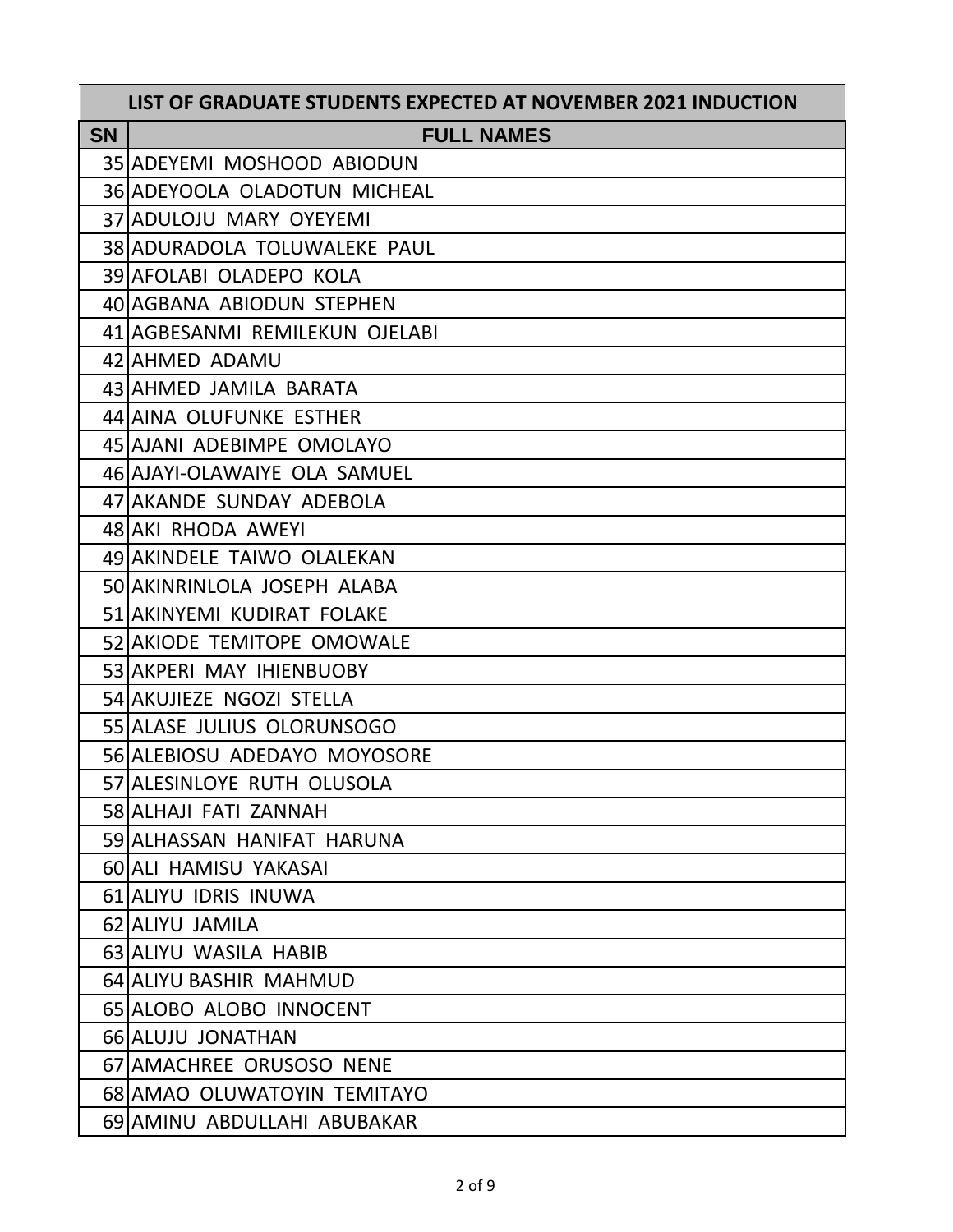|           | LIST OF GRADUATE STUDENTS EXPECTED AT NOVEMBER 2021 INDUCTION |
|-----------|---------------------------------------------------------------|
| <b>SN</b> | <b>FULL NAMES</b>                                             |
|           | 35 ADEYEMI MOSHOOD ABIODUN                                    |
|           | 36 ADEYOOLA OLADOTUN MICHEAL                                  |
|           | 37 ADULOJU MARY OYEYEMI                                       |
|           | 38 ADURADOLA TOLUWALEKE PAUL                                  |
|           | 39 AFOLABI OLADEPO KOLA                                       |
|           | 40 AGBANA ABIODUN STEPHEN                                     |
|           | 41 AGBESANMI REMILEKUN OJELABI                                |
|           | 42 AHMED ADAMU                                                |
|           | 43 AHMED JAMILA BARATA                                        |
|           | 44 AINA OLUFUNKE ESTHER                                       |
|           | 45 AJANI ADEBIMPE OMOLAYO                                     |
|           | 46 AJAYI-OLAWAIYE OLA SAMUEL                                  |
|           | 47 AKANDE SUNDAY ADEBOLA                                      |
|           | 48 AKI RHODA AWEYI                                            |
|           | 49 AKINDELE TAIWO OLALEKAN                                    |
|           | 50 AKINRINLOLA JOSEPH ALABA                                   |
|           | 51 AKINYEMI KUDIRAT FOLAKE                                    |
|           | 52 AKIODE TEMITOPE OMOWALE                                    |
|           | 53 AKPERI MAY IHIENBUOBY                                      |
|           | 54 AKUJIEZE NGOZI STELLA                                      |
|           | 55 ALASE JULIUS OLORUNSOGO                                    |
|           | 56 ALEBIOSU ADEDAYO MOYOSORE                                  |
|           | 57 ALESINLOYE RUTH OLUSOLA                                    |
|           | 58 ALHAJI FATI ZANNAH                                         |
|           | 59 ALHASSAN HANIFAT HARUNA                                    |
|           | 60 ALI HAMISU YAKASAI                                         |
|           | 61 ALIYU IDRIS INUWA                                          |
|           | 62 ALIYU JAMILA                                               |
|           | 63 ALIYU WASILA HABIB                                         |
|           | 64 ALIYU BASHIR MAHMUD                                        |
|           | 65 ALOBO ALOBO INNOCENT                                       |
|           | 66 ALUJU JONATHAN                                             |
|           | 67 AMACHREE ORUSOSO NENE                                      |
|           | 68 AMAO OLUWATOYIN TEMITAYO                                   |
|           | 69 AMINU ABDULLAHI ABUBAKAR                                   |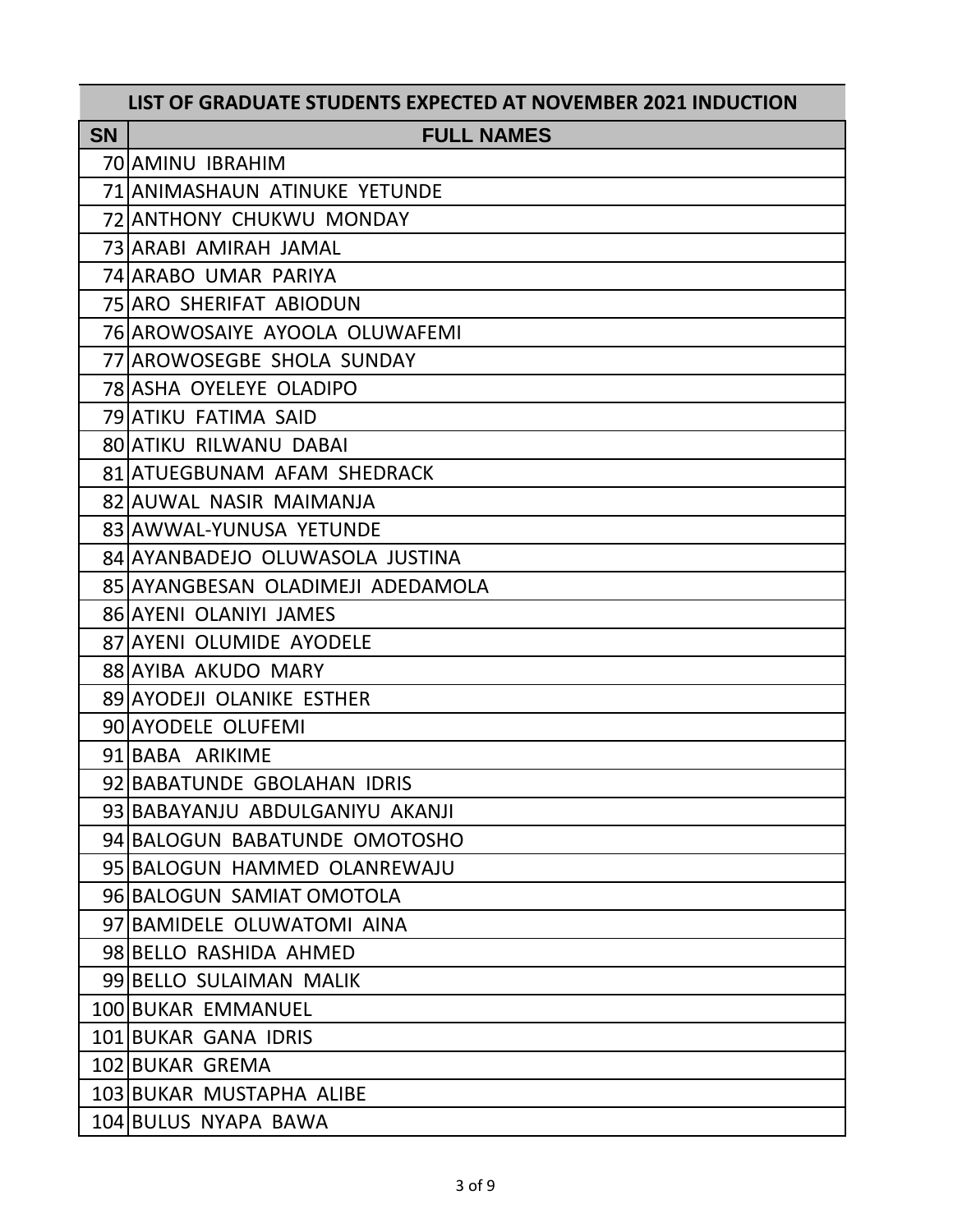|           | LIST OF GRADUATE STUDENTS EXPECTED AT NOVEMBER 2021 INDUCTION |
|-----------|---------------------------------------------------------------|
| <b>SN</b> | <b>FULL NAMES</b>                                             |
|           | 70 AMINU IBRAHIM                                              |
|           | 71 ANIMASHAUN ATINUKE YETUNDE                                 |
|           | 72 ANTHONY CHUKWU MONDAY                                      |
|           | 73 ARABI AMIRAH JAMAL                                         |
|           | 74 ARABO UMAR PARIYA                                          |
|           | 75 ARO SHERIFAT ABIODUN                                       |
|           | 76 AROWOSAIYE AYOOLA OLUWAFEMI                                |
|           | 77 AROWOSEGBE SHOLA SUNDAY                                    |
|           | <b>78 ASHA OYELEYE OLADIPO</b>                                |
|           | 79 ATIKU FATIMA SAID                                          |
|           | <b>80 ATIKU RILWANU DABAI</b>                                 |
|           | 81 ATUEGBUNAM AFAM SHEDRACK                                   |
|           | 82 AUWAL NASIR MAIMANJA                                       |
|           | 83 AWWAL-YUNUSA YETUNDE                                       |
|           | 84 AYANBADEJO OLUWASOLA JUSTINA                               |
|           | 85 AYANGBESAN OLADIMEJI ADEDAMOLA                             |
|           | 86 AYENI OLANIYI JAMES                                        |
|           | 87 AYENI OLUMIDE AYODELE                                      |
|           | 88 AYIBA AKUDO MARY                                           |
|           | 89 AYODEJI OLANIKE ESTHER                                     |
|           | 90 AYODELE OLUFEMI                                            |
|           | 91 BABA ARIKIME                                               |
|           | 92 BABATUNDE GBOLAHAN IDRIS                                   |
|           | 93 BABAYANJU ABDULGANIYU AKANJI                               |
|           | 94 BALOGUN BABATUNDE OMOTOSHO                                 |
|           | 95 BALOGUN HAMMED OLANREWAJU                                  |
|           | 96 BALOGUN SAMIAT OMOTOLA                                     |
|           | 97 BAMIDELE OLUWATOMI AINA                                    |
|           | 98 BELLO RASHIDA AHMED                                        |
|           | 99 BELLO SULAIMAN MALIK                                       |
|           | 100 BUKAR EMMANUEL                                            |
|           | 101 BUKAR GANA IDRIS                                          |
|           | 102 BUKAR GREMA                                               |
|           | 103 BUKAR MUSTAPHA ALIBE                                      |
|           | 104 BULUS NYAPA BAWA                                          |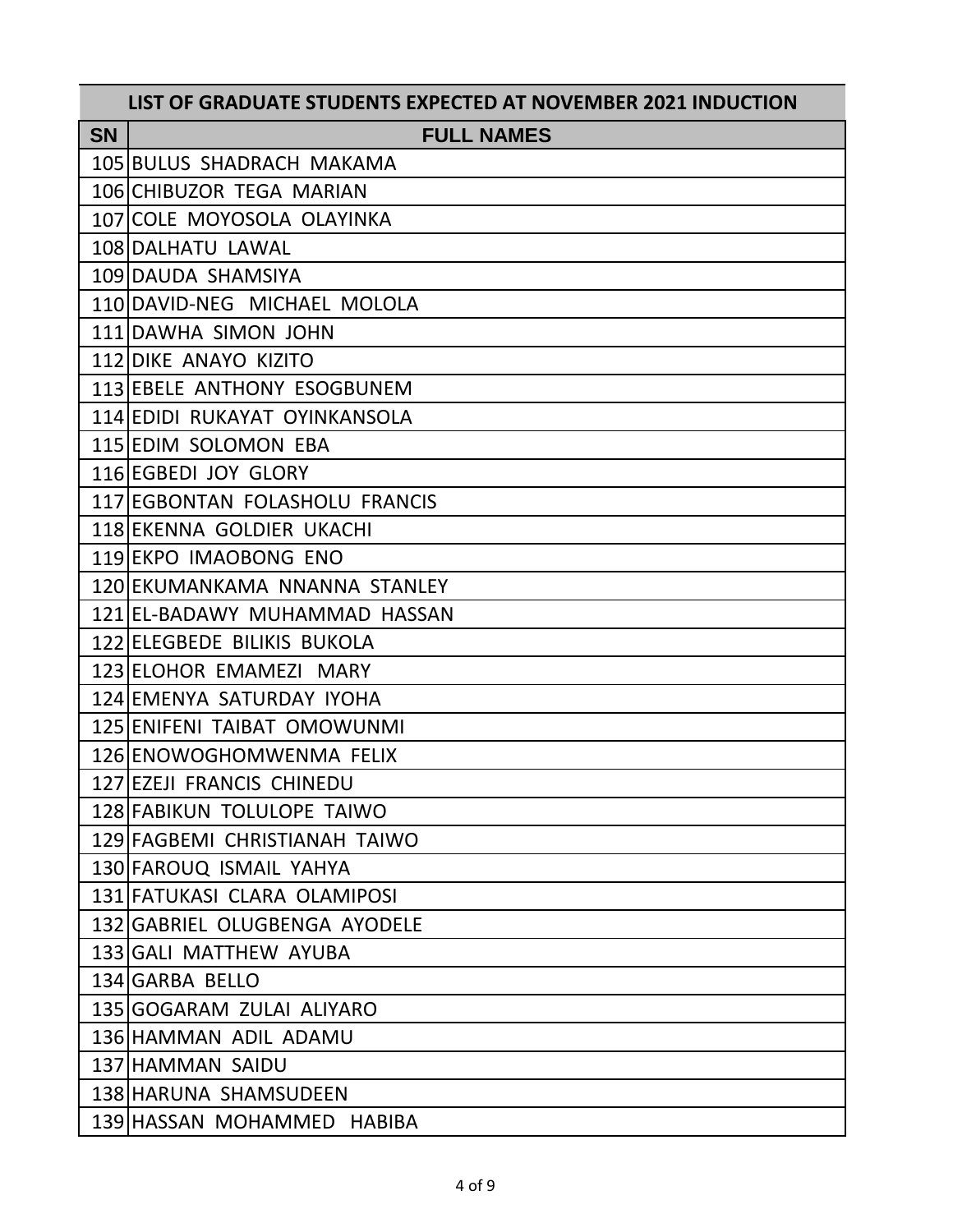| LIST OF GRADUATE STUDENTS EXPECTED AT NOVEMBER 2021 INDUCTION |                                |
|---------------------------------------------------------------|--------------------------------|
| <b>SN</b>                                                     | <b>FULL NAMES</b>              |
|                                                               | 105 BULUS SHADRACH MAKAMA      |
|                                                               | 106 CHIBUZOR TEGA MARIAN       |
|                                                               | 107 COLE MOYOSOLA OLAYINKA     |
|                                                               | 108 DALHATU LAWAL              |
|                                                               | 109 DAUDA SHAMSIYA             |
|                                                               | 110 DAVID-NEG MICHAEL MOLOLA   |
|                                                               | 111 DAWHA SIMON JOHN           |
|                                                               | 112 DIKE ANAYO KIZITO          |
|                                                               | 113 EBELE ANTHONY ESOGBUNEM    |
|                                                               | 114 EDIDI RUKAYAT OYINKANSOLA  |
|                                                               | 115 EDIM SOLOMON EBA           |
|                                                               | 116 EGBEDI JOY GLORY           |
|                                                               | 117 EGBONTAN FOLASHOLU FRANCIS |
|                                                               | 118 EKENNA GOLDIER UKACHI      |
|                                                               | 119 EKPO IMAOBONG ENO          |
|                                                               | 120 EKUMANKAMA NNANNA STANLEY  |
|                                                               | 121 EL-BADAWY MUHAMMAD HASSAN  |
|                                                               | 122 ELEGBEDE BILIKIS BUKOLA    |
|                                                               | 123 ELOHOR EMAMEZI MARY        |
|                                                               | 124 EMENYA SATURDAY IYOHA      |
|                                                               | 125 ENIFENI TAIBAT OMOWUNMI    |
|                                                               | 126 ENOWOGHOMWENMA FELIX       |
|                                                               | 127 EZEJI FRANCIS CHINEDU      |
|                                                               | 128 FABIKUN TOLULOPE TAIWO     |
|                                                               | 129 FAGBEMI CHRISTIANAH TAIWO  |
|                                                               | 130 FAROUQ ISMAIL YAHYA        |
|                                                               | 131 FATUKASI CLARA OLAMIPOSI   |
|                                                               | 132 GABRIEL OLUGBENGA AYODELE  |
|                                                               | 133 GALI MATTHEW AYUBA         |
|                                                               | 134 GARBA BELLO                |
|                                                               | 135 GOGARAM ZULAI ALIYARO      |
|                                                               | 136 HAMMAN ADIL ADAMU          |
|                                                               | 137 HAMMAN SAIDU               |
|                                                               | 138 HARUNA SHAMSUDEEN          |
|                                                               | 139 HASSAN MOHAMMED HABIBA     |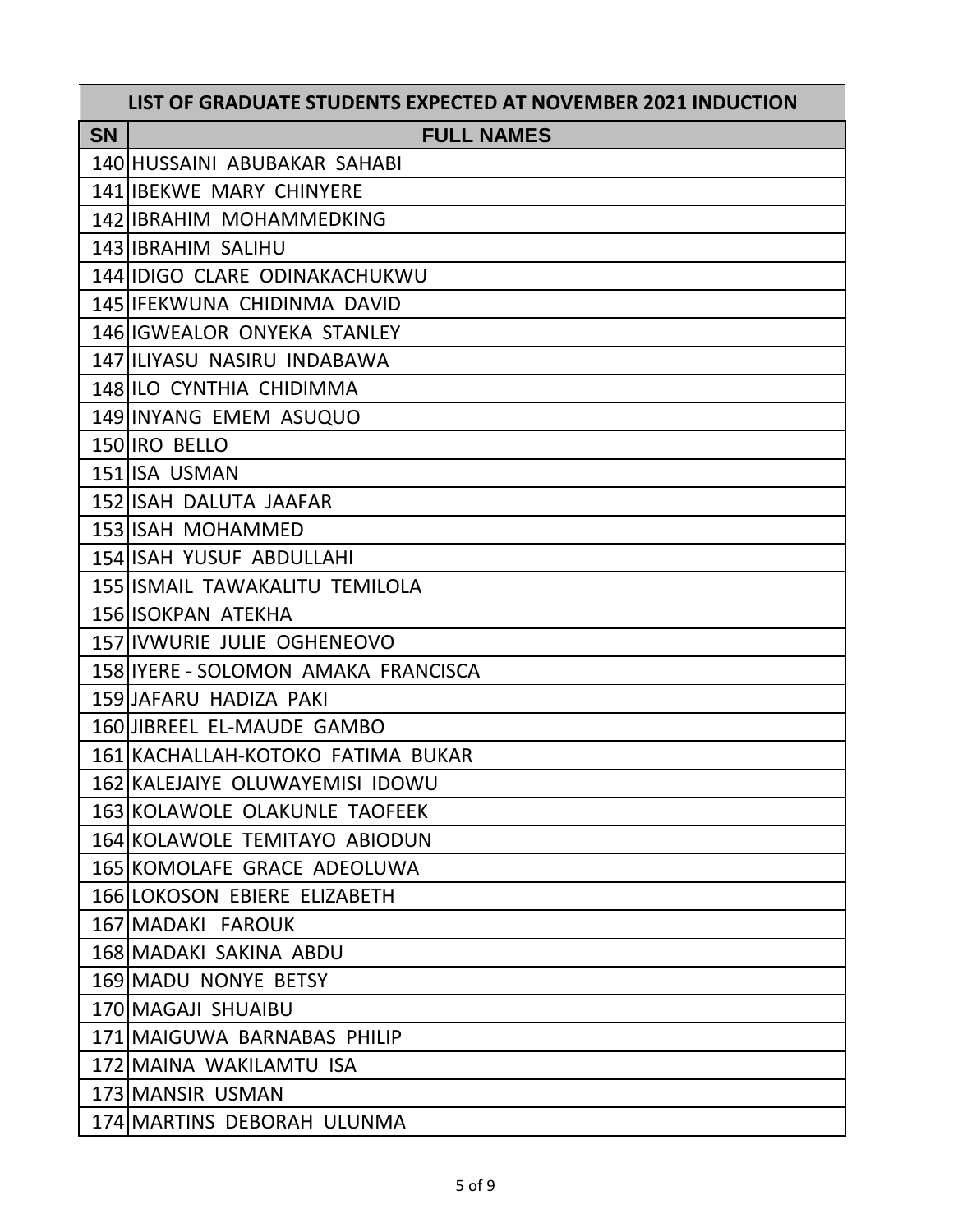| LIST OF GRADUATE STUDENTS EXPECTED AT NOVEMBER 2021 INDUCTION |                                       |
|---------------------------------------------------------------|---------------------------------------|
| <b>SN</b>                                                     | <b>FULL NAMES</b>                     |
|                                                               | 140 HUSSAINI ABUBAKAR SAHABI          |
|                                                               | <b>141 IBEKWE MARY CHINYERE</b>       |
|                                                               | 142 IBRAHIM MOHAMMEDKING              |
|                                                               | 143 IBRAHIM SALIHU                    |
|                                                               | 144 IIDIGO CLARE ODINAKACHUKWU        |
|                                                               | 145 IFEKWUNA CHIDINMA DAVID           |
|                                                               | 146 IGWEALOR ONYEKA STANLEY           |
|                                                               | 147 ILIYASU NASIRU INDABAWA           |
|                                                               | 148 ILO CYNTHIA CHIDIMMA              |
|                                                               | 149 INYANG EMEM ASUQUO                |
|                                                               | 150 IRO BELLO                         |
|                                                               | 151 ISA USMAN                         |
|                                                               | 152 ISAH DALUTA JAAFAR                |
|                                                               | 153 ISAH MOHAMMED                     |
|                                                               | 154 ISAH YUSUF ABDULLAHI              |
|                                                               | <b>155 ISMAIL TAWAKALITU TEMILOLA</b> |
|                                                               | 156 ISOKPAN ATEKHA                    |
|                                                               | 157 IVWURIE JULIE OGHENEOVO           |
|                                                               | 158 IYERE - SOLOMON AMAKA FRANCISCA   |
|                                                               | 159 JAFARU HADIZA PAKI                |
|                                                               | 160 JIBREEL EL-MAUDE GAMBO            |
|                                                               | 161 KACHALLAH-KOTOKO FATIMA BUKAR     |
|                                                               | 162 KALEJAIYE OLUWAYEMISI IDOWU       |
|                                                               | 163 KOLAWOLE OLAKUNLE TAOFEEK         |
|                                                               | 164 KOLAWOLE TEMITAYO ABIODUN         |
|                                                               | 165 KOMOLAFE GRACE ADEOLUWA           |
|                                                               | 166 LOKOSON EBIERE ELIZABETH          |
|                                                               | 167 MADAKI FAROUK                     |
|                                                               | 168 MADAKI SAKINA ABDU                |
|                                                               | 169 MADU NONYE BETSY                  |
|                                                               | 170 MAGAJI SHUAIBU                    |
|                                                               | 171 MAIGUWA BARNABAS PHILIP           |
|                                                               | 172 MAINA WAKILAMTU ISA               |
|                                                               | 173 MANSIR USMAN                      |
|                                                               | 174 MARTINS DEBORAH ULUNMA            |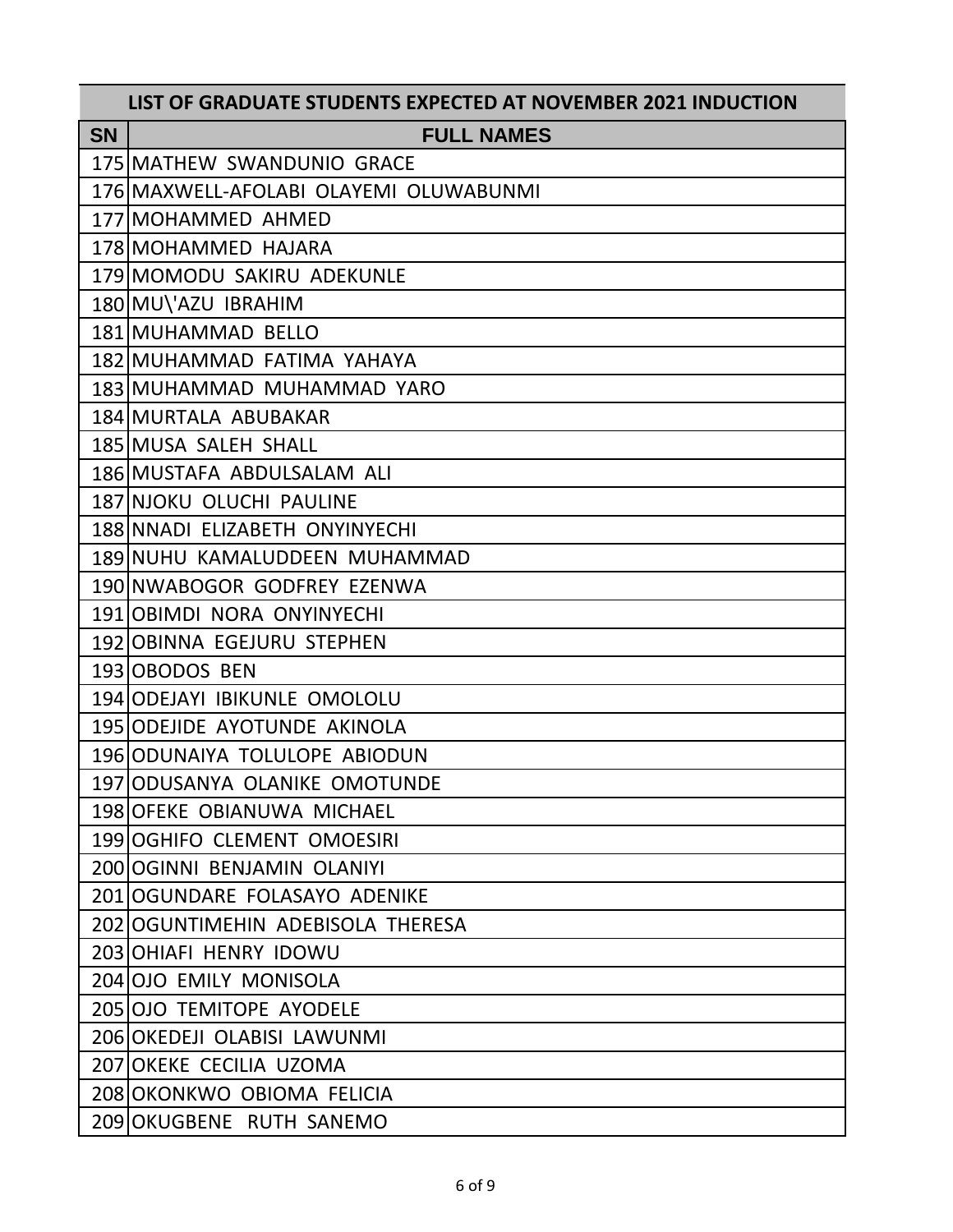| LIST OF GRADUATE STUDENTS EXPECTED AT NOVEMBER 2021 INDUCTION |                                        |
|---------------------------------------------------------------|----------------------------------------|
| <b>SN</b>                                                     | <b>FULL NAMES</b>                      |
|                                                               | 175 MATHEW SWANDUNIO GRACE             |
|                                                               | 176 MAXWELL-AFOLABI OLAYEMI OLUWABUNMI |
|                                                               | 177 MOHAMMED AHMED                     |
|                                                               | 178 MOHAMMED HAJARA                    |
|                                                               | 179 MOMODU SAKIRU ADEKUNLE             |
|                                                               | 180 MU\'AZU IBRAHIM                    |
|                                                               | 181 MUHAMMAD BELLO                     |
|                                                               | 182 MUHAMMAD FATIMA YAHAYA             |
|                                                               | 183 MUHAMMAD MUHAMMAD YARO             |
|                                                               | 184 MURTALA ABUBAKAR                   |
|                                                               | 185 MUSA SALEH SHALL                   |
|                                                               | 186 MUSTAFA ABDULSALAM ALI             |
|                                                               | 187 NJOKU OLUCHI PAULINE               |
|                                                               | 188 NNADI ELIZABETH ONYINYECHI         |
|                                                               | 189 NUHU KAMALUDDEEN MUHAMMAD          |
|                                                               | 190 NWABOGOR GODFREY EZENWA            |
|                                                               | 191 OBIMDI NORA ONYINYECHI             |
|                                                               | 192 OBINNA EGEJURU STEPHEN             |
|                                                               | 193 OBODOS BEN                         |
|                                                               | 194 ODEJAYI IBIKUNLE OMOLOLU           |
|                                                               | 195 ODEJIDE AYOTUNDE AKINOLA           |
|                                                               | 196 ODUNAIYA TOLULOPE ABIODUN          |
|                                                               | 197 ODUSANYA OLANIKE OMOTUNDE          |
|                                                               | 198 OFEKE OBIANUWA MICHAEL             |
|                                                               | 199 OGHIFO CLEMENT OMOESIRI            |
|                                                               | 200 OGINNI BENJAMIN OLANIYI            |
|                                                               | 201 OGUNDARE FOLASAYO ADENIKE          |
|                                                               | 202 OGUNTIMEHIN ADEBISOLA THERESA      |
|                                                               | 203 OHIAFI HENRY IDOWU                 |
|                                                               | 204 OJO EMILY MONISOLA                 |
|                                                               | 205 OJO TEMITOPE AYODELE               |
|                                                               | 206 OKEDEJI OLABISI LAWUNMI            |
|                                                               | 207 OKEKE CECILIA UZOMA                |
|                                                               | 208 OKONKWO OBIOMA FELICIA             |
|                                                               | 209 OKUGBENE RUTH SANEMO               |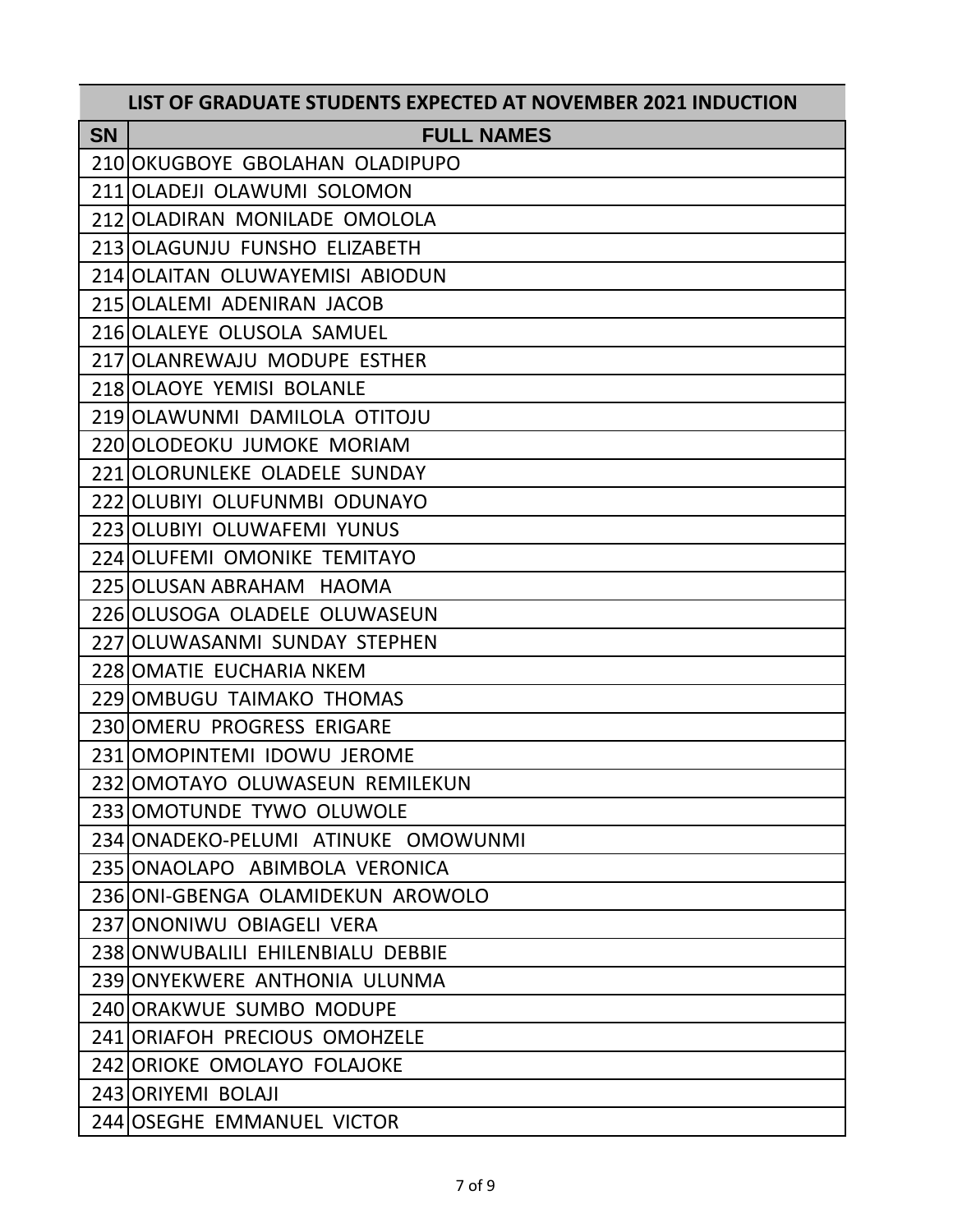|           | LIST OF GRADUATE STUDENTS EXPECTED AT NOVEMBER 2021 INDUCTION |
|-----------|---------------------------------------------------------------|
| <b>SN</b> | <b>FULL NAMES</b>                                             |
|           | 210 OKUGBOYE GBOLAHAN OLADIPUPO                               |
|           | 211 OLADEJI OLAWUMI SOLOMON                                   |
|           | 212 OLADIRAN MONILADE OMOLOLA                                 |
|           | 213 OLAGUNJU FUNSHO ELIZABETH                                 |
|           | 214 OLAITAN OLUWAYEMISI ABIODUN                               |
|           | 215 OLALEMI ADENIRAN JACOB                                    |
|           | 216 OLALEYE OLUSOLA SAMUEL                                    |
|           | 217 OLANREWAJU MODUPE ESTHER                                  |
|           | 218 OLAOYE YEMISI BOLANLE                                     |
|           | 219 OLAWUNMI DAMILOLA OTITOJU                                 |
|           | 220 OLODEOKU JUMOKE MORIAM                                    |
|           | 221 OLORUNLEKE OLADELE SUNDAY                                 |
|           | 222 OLUBIYI OLUFUNMBI ODUNAYO                                 |
|           | 223 OLUBIYI OLUWAFEMI YUNUS                                   |
|           | 224 OLUFEMI OMONIKE TEMITAYO                                  |
|           | 225 OLUSAN ABRAHAM HAOMA                                      |
|           | 226 OLUSOGA OLADELE OLUWASEUN                                 |
|           | 227 OLUWASANMI SUNDAY STEPHEN                                 |
|           | 228 OMATIE EUCHARIA NKEM                                      |
|           | 229 OMBUGU TAIMAKO THOMAS                                     |
|           | 230 OMERU PROGRESS ERIGARE                                    |
|           | 231 OMOPINTEMI IDOWU JEROME                                   |
|           | 232 OMOTAYO OLUWASEUN REMILEKUN                               |
|           | 233 OMOTUNDE TYWO OLUWOLE                                     |
|           | 234 ONADEKO-PELUMI ATINUKE OMOWUNMI                           |
|           | 235 ONAOLAPO ABIMBOLA VERONICA                                |
|           | 236 ONI-GBENGA OLAMIDEKUN AROWOLO                             |
|           | 237 ONONIWU OBIAGELI VERA                                     |
|           | 238 ONWUBALILI EHILENBIALU DEBBIE                             |
|           | 239 ONYEKWERE ANTHONIA ULUNMA                                 |
|           | 240 ORAKWUE SUMBO MODUPE                                      |
|           | 241 ORIAFOH PRECIOUS OMOHZELE                                 |
|           | 242 ORIOKE OMOLAYO FOLAJOKE                                   |
|           | 243 ORIYEMI BOLAJI                                            |
|           | 244 OSEGHE EMMANUEL VICTOR                                    |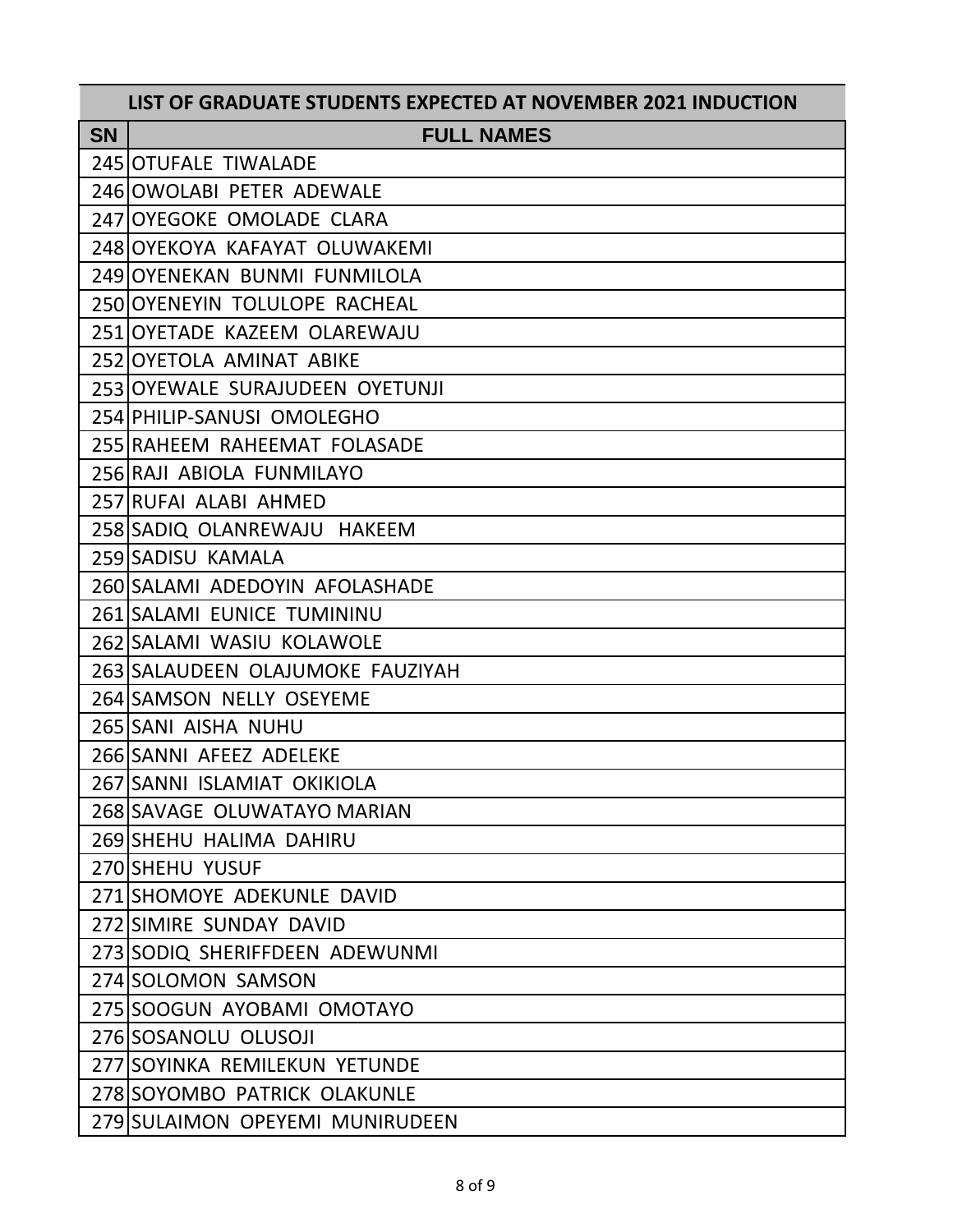|           | LIST OF GRADUATE STUDENTS EXPECTED AT NOVEMBER 2021 INDUCTION |
|-----------|---------------------------------------------------------------|
| <b>SN</b> | <b>FULL NAMES</b>                                             |
|           | 245 OTUFALE TIWALADE                                          |
|           | 246 OWOLABI PETER ADEWALE                                     |
|           | 247 OYEGOKE OMOLADE CLARA                                     |
|           | 248 OYEKOYA KAFAYAT OLUWAKEMI                                 |
|           | 249 OYENEKAN BUNMI FUNMILOLA                                  |
|           | 250 OYENEYIN TOLULOPE RACHEAL                                 |
|           | 251 OYETADE KAZEEM OLAREWAJU                                  |
|           | 252 OYETOLA AMINAT ABIKE                                      |
|           | 253 OYEWALE SURAJUDEEN OYETUNJI                               |
|           | 254 PHILIP-SANUSI OMOLEGHO                                    |
|           | 255 RAHEEM RAHEEMAT FOLASADE                                  |
|           | 256 RAJI ABIOLA FUNMILAYO                                     |
|           | 257 RUFAI ALABI AHMED                                         |
|           | 258 SADIQ OLANREWAJU HAKEEM                                   |
|           | 259 SADISU KAMALA                                             |
|           | 260 SALAMI ADEDOYIN AFOLASHADE                                |
|           | 261 SALAMI EUNICE TUMININU                                    |
|           | 262 SALAMI WASIU KOLAWOLE                                     |
|           | 263 SALAUDEEN OLAJUMOKE FAUZIYAH                              |
|           | 264 SAMSON NELLY OSEYEME                                      |
|           | 265 SANI AISHA NUHU                                           |
|           | 266 SANNI AFEEZ ADELEKE                                       |
|           | 267 SANNI ISLAMIAT OKIKIOLA                                   |
|           | 268 SAVAGE OLUWATAYO MARIAN                                   |
|           | 269 SHEHU HALIMA DAHIRU                                       |
|           | 270 SHEHU YUSUF                                               |
|           | 271 SHOMOYE ADEKUNLE DAVID                                    |
|           | 272 SIMIRE SUNDAY DAVID                                       |
|           | 273 SODIQ SHERIFFDEEN ADEWUNMI                                |
|           | 274 SOLOMON SAMSON                                            |
|           | 275 SOOGUN AYOBAMI OMOTAYO                                    |
|           | 276 SOSANOLU OLUSOJI                                          |
|           | 277 SOYINKA REMILEKUN YETUNDE                                 |
|           | 278 SOYOMBO PATRICK OLAKUNLE                                  |
|           | 279 SULAIMON OPEYEMI MUNIRUDEEN                               |